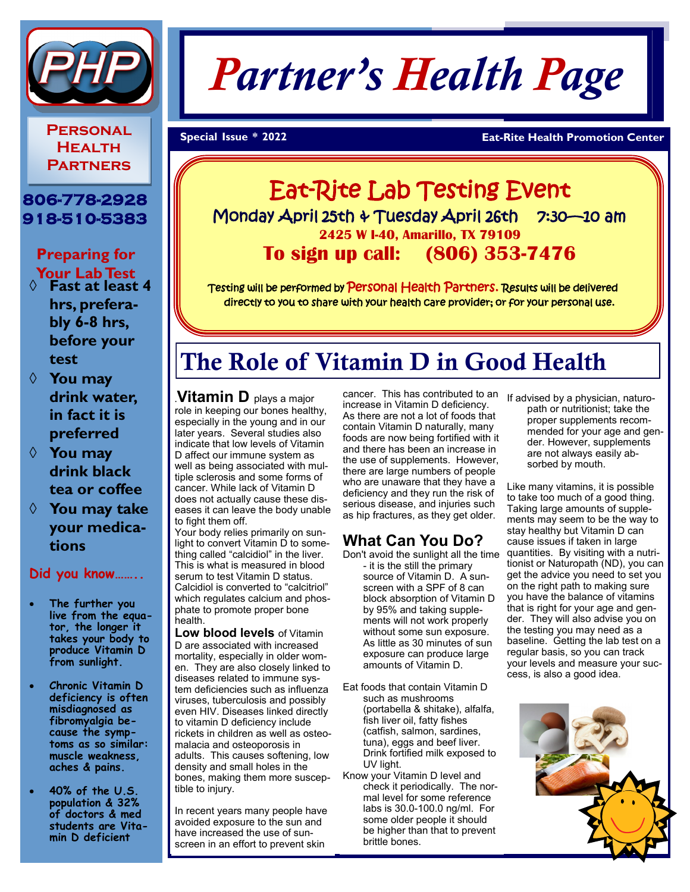

**Personal Health Partners**

## **806-778-2928 918-510-5383**

**Preparing for Your Lab Test** 

- ¡ **Fast at least 4 hrs, preferably 6-8 hrs, before your test**
- ¡ **You may drink water, in fact it is preferred**
- ¡ **You may drink black tea or coffee**
- ¡ **You may take your medications**

#### **Did you know……..**

- **The further you live from the equator, the longer it takes your body to produce Vitamin D from sunlight.**
- **Chronic Vitamin D deficiency is often misdiagnosed as fibromyalgia because the symptoms as so similar: muscle weakness, aches & pains.**
- **40% of the U.S. population & 32% of doctors & med students are Vitamin D deficient**

# *Partner's Health Page*

#### **Special Issue \* 202 Eat-Rite Health Promotion Center**

# Eat-Rite Lab Testing Event Monday April 25th & Tuesday April 26th 7:30-10 am **2425 W I-40, Amarillo, TX 79109 To sign up call: (806) 353-7476**

Testing will be performed by Personal Health Partners. Results will be delivered directly to you to share with your health care provider; or for your personal use.

# The Role of Vitamin D in Good Health

.**Vitamin D** plays a major role in keeping our bones healthy, especially in the young and in our later years. Several studies also indicate that low levels of Vitamin D affect our immune system as well as being associated with multiple sclerosis and some forms of cancer. While lack of Vitamin D does not actually cause these diseases it can leave the body unable to fight them off.

Your body relies primarily on sunlight to convert Vitamin D to something called "calcidiol" in the liver. This is what is measured in blood serum to test Vitamin D status. Calcidiol is converted to "calcitriol" which regulates calcium and phosphate to promote proper bone health.

**Low blood levels** of Vitamin D are associated with increased mortality, especially in older women. They are also closely linked to diseases related to immune system deficiencies such as influenza viruses, tuberculosis and possibly even HIV. Diseases linked directly to vitamin D deficiency include rickets in children as well as osteomalacia and osteoporosis in adults. This causes softening, low density and small holes in the bones, making them more susceptible to injury.

In recent years many people have avoided exposure to the sun and have increased the use of sunscreen in an effort to prevent skin

cancer. This has contributed to an increase in Vitamin D deficiency. As there are not a lot of foods that contain Vitamin D naturally, many foods are now being fortified with it and there has been an increase in the use of supplements. However, there are large numbers of people who are unaware that they have a deficiency and they run the risk of serious disease, and injuries such as hip fractures, as they get older.

# **What Can You Do?**

Don't avoid the sunlight all the time - it is the still the primary source of Vitamin D. A sunscreen with a SPF of 8 can block absorption of Vitamin D by 95% and taking supplements will not work properly without some sun exposure. As little as 30 minutes of sun exposure can produce large amounts of Vitamin D.

- Eat foods that contain Vitamin D such as mushrooms (portabella & shitake), alfalfa, fish liver oil, fatty fishes (catfish, salmon, sardines, tuna), eggs and beef liver. Drink fortified milk exposed to UV light.
- Know your Vitamin D level and check it periodically. The normal level for some reference labs is 30.0-100.0 ng/ml. For some older people it should be higher than that to prevent brittle bones.

If advised by a physician, naturopath or nutritionist; take the proper supplements recommended for your age and gender. However, supplements are not always easily absorbed by mouth.

Like many vitamins, it is possible to take too much of a good thing. Taking large amounts of supplements may seem to be the way to stay healthy but Vitamin D can cause issues if taken in large quantities. By visiting with a nutritionist or Naturopath (ND), you can get the advice you need to set you on the right path to making sure you have the balance of vitamins that is right for your age and gender. They will also advise you on the testing you may need as a baseline. Getting the lab test on a regular basis, so you can track your levels and measure your success, is also a good idea.